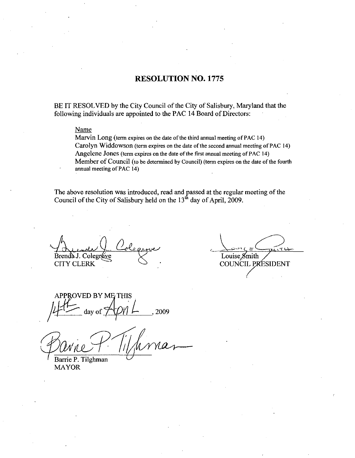#### RESOLUTION NO. 1775

BE IT RESOLVED by the City Council of the City of Salisbury, Maryland that the following individuals are appointed to the PAC 14 Board of Directors:

#### Name

Marvin Long (term expires on the date of the third annual meeting of PAC 14) Carolyn Widdowson (term expires on the date of the second annual meeting of PAC 14) Angelene Jones (term expires on the date of the first annual meeting of PAC 14) Member of Council (to be determined by Council) (term expires on the date of the fourth annual meeting of PAC 14)

The above resolution was introduced, read and passed at the regular meeting of the Council of the City of Salisbury held on the 13<sup>th</sup> day of April, 2009.

Brenda J. CITY CLERK rale ()<br>Colegrave<br>ERK

Louise  $\chi$ mith **COUNCIL PRESIDENT** 

APPROVED BY ME THIS A Lude Loleanne<br>Brenda J. Coleanne<br>CITY CLERK<br>APPROVED BY ME THIS<br>4-1- day of APML, 2009

 $\frac{1}{2}$  day of  $\frac{1}{\sqrt{1-\frac{1}{2}}}\$ <br>arrie P. Tilghman

Barrie P. Tilghman MAYOR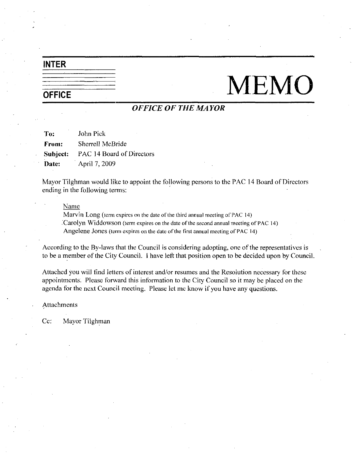# INTER

# $\frac{1}{\sqrt{1-\frac{1}{\sqrt{1-\frac{1}{\sqrt{1-\frac{1}{\sqrt{1-\frac{1}{\sqrt{1-\frac{1}{\sqrt{1-\frac{1}{\sqrt{1-\frac{1}{\sqrt{1-\frac{1}{\sqrt{1-\frac{1}{\sqrt{1-\frac{1}{\sqrt{1-\frac{1}{\sqrt{1-\frac{1}{\sqrt{1-\frac{1}{\sqrt{1-\frac{1}{\sqrt{1-\frac{1}{\sqrt{1-\frac{1}{\sqrt{1-\frac{1}{\sqrt{1-\frac{1}{\sqrt{1-\frac{1}{\sqrt{1-\frac{1}{\sqrt{1-\frac{1}{\sqrt{1-\frac{1}{\sqrt{1-\frac{1}{\sqrt{1-\frac{1$

# OFFICE OF THE MAYOR

To: John Pick From: Sherrell McBride Subject: PAC 14 Board of Directors **Date:** April 7, 2009

Mayor Tilghman would like to appoint the following persons to the PAC <sup>14</sup> Board of Directors ending in the following terms

#### Name

Marvin Long (term expires on the date of the third annual meeting of PAC 14) Carolyn Widdowson (term expires on the date of the second annual meeting of PAC 14) Angelene Jones (term expires on the date of the first annual meeting of PAC 14)

According to the By-laws that the Council is considering adopting, one of the representatives is to be a member of the City Council. I have left that position open to be decided upon by Council.

Attached you will find letters of interest and/or resumes and the Resolution necessary for these appointments. Please forward this information to the City Council so it may be placed on the agenda for the next Council meeting. Please let me know if you have any questions.

Attachments

Cc: Mayor Tilghman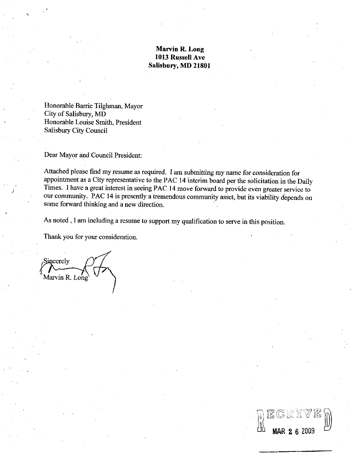#### Marvin R. Long 1013 Russell Ave Salisbury, MD 21801

Honorable Barrie Tilghman, Mayor City of Salisbury, MD Honorable Louise Smith, President Salisbury City Council

Dear Mayor and Council President

Attached please find my resume as required. I am submitting my name for consideration for appointment as <sup>a</sup>City representative to the PAC <sup>14</sup> interim boazd per the solicitation in the Daily Times. I have a great interest in seeing PAC 14 move forward to provide even greater service to our community. PAC 14 is presently a tremendous community asset, but its viability depends on some forward thinking and a new direction.

MAR 2 6 2009

As noted, I am including a resume to support my qualification to serve in this position.

Thank you for your consideration.

Sincerely Marvin R. Long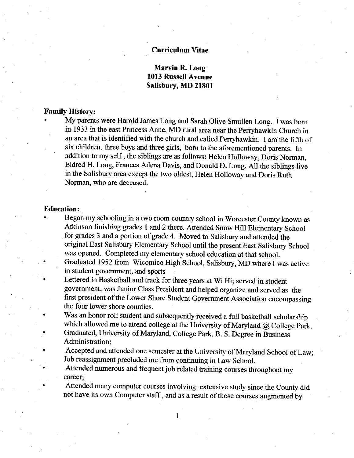#### Curriculum Vitae

## Marvin R. Long 1013 Russell Avenue Salisbury, MD 21801

#### Family History

My parents were Harold James Long and Sarah Olive Smullen Long. I was born in 1933 in the east Princess Anne, MD rural area near the Perryhawkin Church in an area that is identified with the church and called Perryhawkin. I am the fifth of six children, three boys and three girls, born to the aforementioned parents. In addition to my self, the siblings are as follows: Helen Holloway, Doris Norman, Eldred H. Long, Frances Adena Davis, and Donald D. Long. All the siblings live in the Salisbury area except the two oldest, Helen Holloway and Doris Ruth Norman, who are deceased.

#### Education

- Began my schooling in <sup>a</sup> two room country school in Worcester County known as Atkinson finishing grades <sup>1</sup> and <sup>2</sup> there Attended Snow Hill Elementary School for grades 3 and a portion of grade 4. Moved to Salisbury and attended the original East Salisbury Elementary School until the present East Salisbury School was opened. Completed my elementary school education at that school.
	- Graduated 1952 from Wicomico High School, Salisbury, MD where I was active in student government, and sports
	- Lettered in Basketball and track for three years at Wi Hi; served in student government, was Junior Class President and helped organize and served as the first president of the Lower Shore Student Government Association encompassing the four lower shore counties
	- Was an honor roll student and subsequently received <sup>a</sup> full basketball scholarship which allowed me to attend college at the University of Maryland  $\omega$  College Park. Graduated, University of Maryland, College Park, B. S. Degree in Business
	- Administration;
	- Accepted and attended one semester at the University of Maryland School of Law; Job reassignment precluded me from continuing in Law School
	- Attended numerous and frequent job related training courses throughout my career;

 $\mathbf{I}$ 

Attended many computer courses involving extensive study since the County did not have its own Computer staff, and as a result of those courses augmented by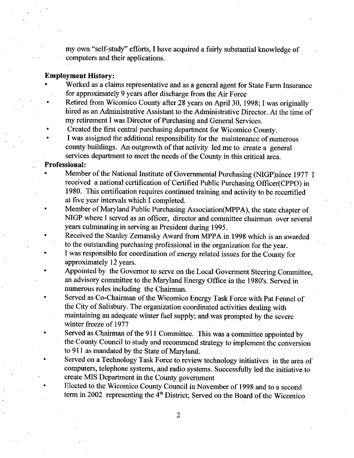my own "self-study" efforts, I have acquired a fairly substantial knowledge of computers and their applications

#### Employment History

- Worked as <sup>a</sup> claims representative and as <sup>a</sup> general agent for State Farm Insurance for approximately <sup>9</sup> years after discharge from the Air Force
- Retired from Wicomico County after 28 years on April 30, 1998; I was originally hired as an Administrative Assistant to the Administrative Director. At the time of my retirement I was Director of Purchasing and General Services.
- Created the first central purchasing department for Wicomico County
- <sup>I</sup> was assigned the additional responsibility for the maintenance of numerous county buildings. An outgrowth of that activity led me to create a general services department to meet the needs of the County in this critical area.

### Professional

- **Institute of Covernment Community** and as a general agent for State Farm Insurance for approximately 9 years after discharge from the Air Force Retired from Wicomico County after 28 years on April 30, 1998; I was original Member of the National Institute of Governmental Purchasing (NIGP)since 1977 I received a national certification of Certified Public Purchasing Officer (CPPO) in 1980. This certification requires continued training and activity to be recertified at five year intervals which I completed
- Member of Maryland Public Purchasing Association (MPPA), the state chapter of NIGP where I served as an officer, director and committee chairman over several years culminating in serving as President during 1995
- Received the Stanley Zemansky Award from MPPA in <sup>1998</sup> which is an awarded to the outstanding purchasing professional in the organization for the year
- I was responsible for coordination of energy related issues for the County for approximately 12 years
- Appointed by the Governor to serve on the Local Goverment Steering Committee I was responsible for coordination of energy related issues for the County for<br>approximately 12 years.<br>Appointed by the Governor to serve on the Local Governent Steering Comm<br>an advisory committee to the Maryland Energy Of numerous roles including the Chairman an advisory committee to the Maryland Energy Office in the 1980's. Served in numerous roles including the Chairman.<br>Served as Co-Chairman of the Wicomico Energy Task Force with Pat Fennel of
- the City of Salisbury. The organization coordinated activities dealing with maintaining an adequate winter fuel supply; and was prompted by the severe winter freeze of 1977
- Served as Chairman of the 911 Committee. This was a committee appointed by the County Council to study and recommend strategy to implement the conversion to 911 as mandated by the State of Maryland.
- Served on <sup>a</sup> Technology Task Force to review technology initiatives in the area of computers, telephone systems, and radio systems. Successfully led the initiative to create MIS Department in the County government
	- Elected to the Wicomico County Council in November of <sup>1998</sup> and to <sup>a</sup> second term in 2002 representing the  $4<sup>th</sup>$  District; Served on the Board of the Wicomico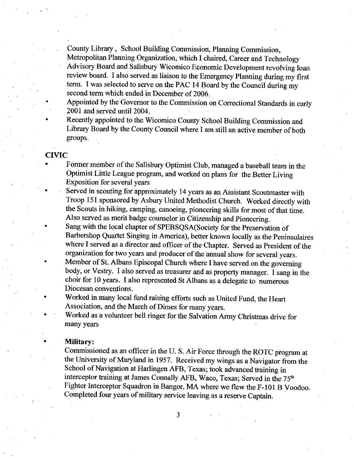County Library, School Building Commission, Planning Commission, Metropolitan Planning Organization, which I chaired, Career and Technology Advisory Board and Salisbury Wicomico Economic Development revolving loan review board. I also served as liaison to the Emergency Planning during my first term. I was selected to serve on the PAC 14 Board by the Council during my second term which ended in December of 2006.

- Appointed by the Governor to the Commission on Correctional Standards in early 2001 and served unti12004
- Recently appointed to the Wicomico County School Building Commission and Library Board by the County Council where I am still an active member of both groups

#### CIVIC

- Former member of the Salisbury Optimist Club, managed a baseball team in the Optimist Little League program, and worked on plans for the Better Living Exposition for several years
- Served in scouting for approximately <sup>14</sup> yeazs as an Assistant Scoutmaster with Troop 151 sponsored by Asbury United Methodist Church. Worked directly with the Scouts in hiking, camping, canoeing, pioneering skills for most of that time. Also served as merit badge counselor in Citizenship and Pioneering.
- Sang with the local chapter of SPEBSQSA (Society for the Preservation of Barbershop Quartet Singing in America), better known locally as the Peninsulaires where I served as a director and officer of the Chapter. Served as President of the organization for two years and producer of the annual show for several years.
- Member of St. Albans Episcopal Church where I have served on the governing body, or Vestry. I also served as treasurer and as property manager. I sang in the choir for 10 years. I also represented St Albans as a delegate to numerous Diocesan conventions
- Worked in many local fund raising efforts such as United Fund, the Heart Association, and the March of Dimes for many years.
- Worked as a volunteer bell ringer for the Salvation Army Christmas drive for many years

#### Military:

Commissioned as an officer in the U.S. Air Force through the ROTC program at commissioned as an officer in the O. S. All Force through the KOTC program at<br>the University of Maryland in 1957. Received my wings as a Navigator from the<br>School of Navigation at Harlingen AFB, Texas; took advanced traini School of Navigation at Harlingen AFB, Texas; took advanced training in interceptor training at James Connally AFB, Waco, Texas; Served in the 75<sup>th</sup> Fighter Interceptor Squadron in Bangor, MA where we flew the F-101 B Voodoo. Completed four years of military service leaving as a reserve Captain.

 $\overline{3}$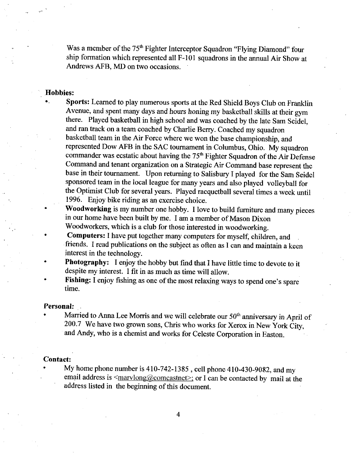Was a member of the 75<sup>th</sup> Fighter Interceptor Squadron "Flying Diamond" four Was a member of the  $75<sup>th</sup>$  Fighter Interceptor Squadron "Flying Diamond" four ship formation which represented all  $F-101$  squadrons in the annual Air Show at Andrews  $\triangle$ FR  $\triangle$ MD on two occasionsAndrews AFB, MD on two occasions.

#### Hobbies

Sports: Learned to play numerous sports at the Red Shield Boys Club on Franklin Avenue, and spent many days and hours honing my basketball skills at their gym there. Played basketball in high school and was coached by the late Sam Seidel. and ran track on a team coached by Charlie Berry. Coached my squadron basketball team in the Air Force where we won the base championship, and represented Dow AFB in the SAC tournament in Columbus, Ohio. My squadron commander was ecstatic about having the  $75<sup>th</sup>$  Fighter Squadron of the Air Defense Command and tenant organization on <sup>a</sup> Strategic Air Command base represent the base in their tournament. Upon returning to Salisbury I played for the Sam Seidel sponsored team in the local league for many yeazs and also played volleyball for the Optimist Club for several years. Played racquetball several times a week until 1996. Enjoy bike riding as an exercise choice.

Woodworking is my number one hobby. I love to build furniture and many pieces in our home have been built by me. I am a member of Mason Dixon Woodworkers, which is a club for those interested in woodworking.

- Computers: I have put together many computers for myself, children, and friends. I read publications on the subject as often as I can and maintain a keen interest in the technology
- Photography: I enjoy the hobby but find that I have little time to devote to it despite my interest. I fit in as much as time will allow.
- Fishing: I enjoy fishing as one of the most relaxing ways to spend one's spare time.

#### Personal

Married to Anna Lee Morris and we will celebrate our  $50<sup>th</sup>$  anniversary in April of 200.7 We have two grown sons, Chris who works for  $50<sup>th</sup>$  anniversary in April 200.7 We have two grown sons, Chris who works for Xerox in New York City, and Andy, who is a chemist and works for Celeste Corporation in Easton.

#### Contact:

My home phone number is  $410 - 742 - 1385$ , cell phone  $410 - 430 - 9082$ , and my 200.7 We have two grown sons, Chris who works for Xerox in New York City,<br>and Andy, who is a chemist and works for Celeste Corporation in Easton.<br>t:<br>My home phone number is 410-742-1385, cell phone 410-430-9082, and my<br>em address listed in the beginning of this document.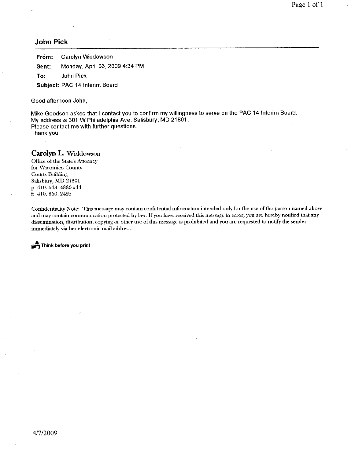#### John Pick

From: Carolyn Widdowson **Sent:** Monday, April 06, 2009 4:34 PM<br>To: John Pick John Pick

Subject: PAC 14 Interim Board

Good afternoon John

Mike Goodson asked that I contact you to confirm my willingness to serve on the PAC 14 Interim Board. My address is 301 W Philadelphia Ave, Salisbury, MD 21801. Please contact me with further questions Thank you

**Carolyn L. Widdowson**<br>Office of the State's Attorney<br>for Wicomico County for Wicomico County Courts Building Salisbury, MD 21801 p: 410. 548. 4880 x44<br>f: 410. 860. 2425

f: 410. 860. 2425<br>Confidentiality Note: This message may contain confidential information intended only for the use of the person named above and may contain communication protected by law. If you have received this message in error, you are hereby notified that any dissemination, distribution, copying or other use of this message is prohibited and you are requested to notify the sender immediately via her electronic mail address.

 $\Rightarrow$  Think before you print